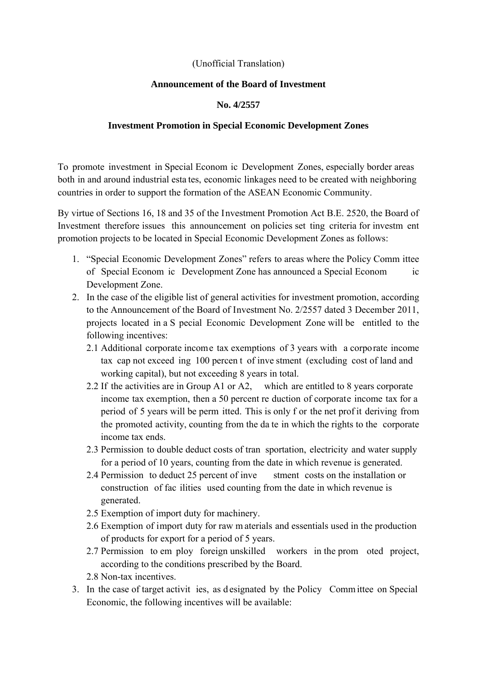## (Unofficial Translation)

## **Announcement of the Board of Investment**

## **No. 4/2557**

## **Investment Promotion in Special Economic Development Zones**

To promote investment in Special Econom ic Development Zones, especially border areas both in and around industrial esta tes, economic linkages need to be created with neighboring countries in order to support the formation of the ASEAN Economic Community.

By virtue of Sections 16, 18 and 35 of the Investment Promotion Act B.E. 2520, the Board of Investment therefore issues this announcement on policies set ting criteria for investm ent promotion projects to be located in Special Economic Development Zones as follows:

- 1. "Special Economic Development Zones" refers to areas where the Policy Comm ittee of Special Econom ic Development Zone has announced a Special Econom ic Development Zone.
- 2. In the case of the eligible list of general activities for investment promotion, according to the Announcement of the Board of Investment No. 2/2557 dated 3 December 2011, projects located in a S pecial Economic Development Zone will be entitled to the following incentives:
	- 2.1 Additional corporate income tax exemptions of 3 years with a corporate income tax cap not exceed ing 100 percen t of inve stment (excluding cost of land and working capital), but not exceeding 8 years in total.
	- 2.2 If the activities are in Group A1 or A2, which are entitled to 8 years corporate income tax exemption, then a 50 percent re duction of corporate income tax for a period of 5 years will be perm itted. This is only f or the net prof it deriving from the promoted activity, counting from the da te in which the rights to the corporate income tax ends.
	- 2.3 Permission to double deduct costs of tran sportation, electricity and water supply for a period of 10 years, counting from the date in which revenue is generated.
	- 2.4 Permission to deduct 25 percent of inve stment costs on the installation or construction of fac ilities used counting from the date in which revenue is generated.
	- 2.5 Exemption of import duty for machinery.
	- 2.6 Exemption of import duty for raw m aterials and essentials used in the production of products for export for a period of 5 years.
	- 2.7 Permission to em ploy foreign unskilled workers in the prom oted project, according to the conditions prescribed by the Board.
	- 2.8 Non-tax incentives.
- 3. In the case of target activit ies, as d esignated by the Policy Comm ittee on Special Economic, the following incentives will be available: